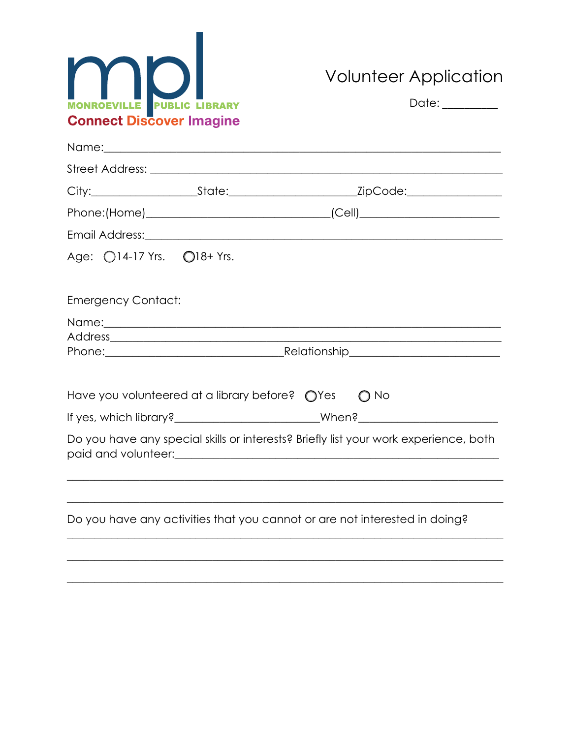

**Volunteer Application** 

| MONROEVILLE PUBLIC LIBRARY<br><b>Connect Discover Imagine</b> |                                                                                                                                                                                                                                | Date: ________ |               |  |
|---------------------------------------------------------------|--------------------------------------------------------------------------------------------------------------------------------------------------------------------------------------------------------------------------------|----------------|---------------|--|
|                                                               | Name: \\contact \\contact \\contact \\contact \\contact \\contact \\contact \\contact \\contact \\contact \\contact \\contact \\contact \\contact \\contact \\contact \\contact \\contact \\contact \\contact \\contact \\cont |                |               |  |
|                                                               |                                                                                                                                                                                                                                |                |               |  |
|                                                               |                                                                                                                                                                                                                                |                |               |  |
|                                                               |                                                                                                                                                                                                                                |                |               |  |
|                                                               |                                                                                                                                                                                                                                |                |               |  |
| Age: 014-17 Yrs. 018+ Yrs.                                    |                                                                                                                                                                                                                                |                |               |  |
| <b>Emergency Contact:</b>                                     |                                                                                                                                                                                                                                |                |               |  |
|                                                               |                                                                                                                                                                                                                                |                |               |  |
|                                                               | Phone: Relationship Phone:                                                                                                                                                                                                     |                |               |  |
|                                                               |                                                                                                                                                                                                                                |                |               |  |
|                                                               | Have you volunteered at a library before? $\bigcirc$ Yes                                                                                                                                                                       |                | $\bigcirc$ No |  |
|                                                               |                                                                                                                                                                                                                                |                |               |  |
|                                                               | Do you have any special skills or interests? Briefly list your work experience, both                                                                                                                                           |                |               |  |
|                                                               |                                                                                                                                                                                                                                |                |               |  |
|                                                               |                                                                                                                                                                                                                                |                |               |  |
|                                                               | Do you have any activities that you cannot or are not interested in doing?                                                                                                                                                     |                |               |  |
|                                                               |                                                                                                                                                                                                                                |                |               |  |
|                                                               |                                                                                                                                                                                                                                |                |               |  |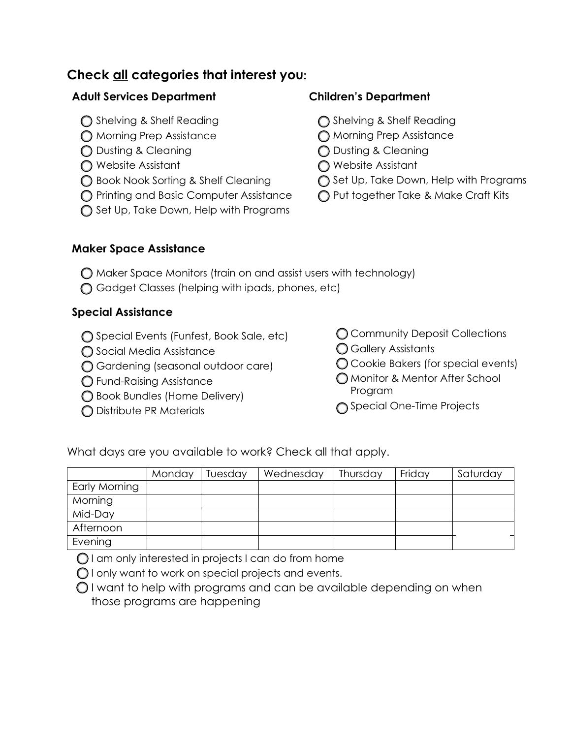# **Check all categories that interest you:**

### **Adult Services Department**

- ◯ Shelving & Shelf Reading
- o Morning Prep Assistance
- o Dusting & Cleaning
- o Website Assistant
- ◯ Book Nook Sorting & Shelf Cleaning
- o Printing and Basic Computer Assistance
- ◯ Set Up, Take Down, Help with Programs

## **Children's Department**

- ◯ Shelving & Shelf Reading
- o Morning Prep Assistance
- o Dusting & Cleaning
- O Website Assistant
- ◯ Set Up, Take Down, Help with Programs
- O Put together Take & Make Craft Kits

### **Maker Space Assistance**

- $\bigcirc$  Maker Space Monitors (train on and assist users with technology)
- o Gadget Classes (helping with ipads, phones, etc)

## **Special Assistance**

- ◯ Special Events (Funfest, Book Sale, etc)
- ◯ Social Media Assistance
- o Gardening (seasonal outdoor care)
- o Fund-Raising Assistance
- ◯ Book Bundles (Home Delivery)
- o Distribute PR Materials
- **C** Community Deposit Collections
- o Gallery Assistants
- $\bigcirc$  Cookie Bakers (for special events)
- o Monitor & Mentor After School Program
- ◯ Special One-Time Projects

What days are you available to work? Check all that apply.

|               | Monday | Tuesday | Wednesday | Thursday | Friday | Saturday |
|---------------|--------|---------|-----------|----------|--------|----------|
| Early Morning |        |         |           |          |        |          |
| Morning       |        |         |           |          |        |          |
| Mid-Day       |        |         |           |          |        |          |
| Afternoon     |        |         |           |          |        |          |
| Evening       |        |         |           |          |        |          |

 $\bigcirc$  I am only interested in projects I can do from home

 $\bigcirc$  I only want to work on special projects and events.

 $\bigcirc$  I want to help with programs and can be available depending on when those programs are happening